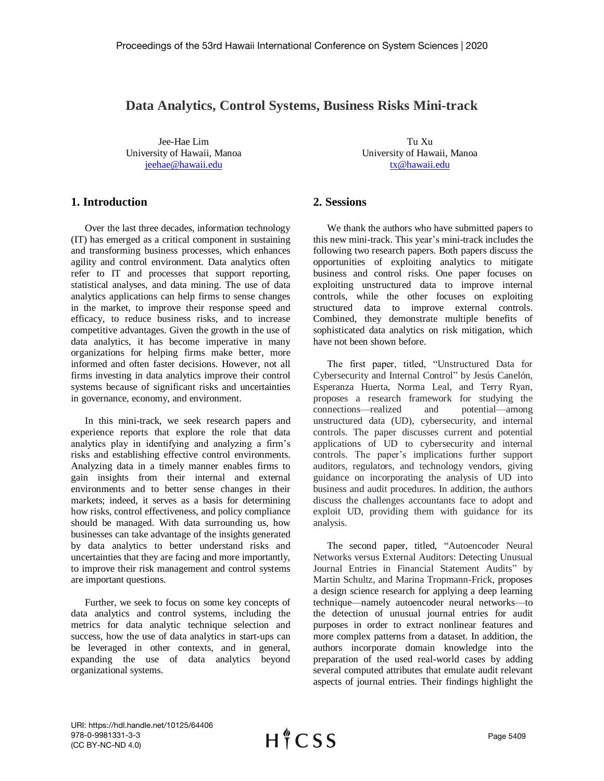## **Data Analytics, Control Systems, Business Risks Mini-track**

Jee-Hae Lim Tu Xu [jeehae@hawaii.edu](mailto:jeehae@hawaii.edu) [tx@hawaii.edu](mailto:tx@hawaii.edu)

**1. Introduction** 

Over the last three decades, information technology (IT) has emerged as a critical component in sustaining and transforming business processes, which enhances agility and control environment. Data analytics often refer to IT and processes that support reporting, statistical analyses, and data mining. The use of data analytics applications can help firms to sense changes in the market, to improve their response speed and efficacy, to reduce business risks, and to increase competitive advantages. Given the growth in the use of data analytics, it has become imperative in many organizations for helping firms make better, more informed and often faster decisions. However, not all firms investing in data analytics improve their control systems because of significant risks and uncertainties in governance, economy, and environment.

In this mini-track, we seek research papers and experience reports that explore the role that data analytics play in identifying and analyzing a firm's risks and establishing effective control environments. Analyzing data in a timely manner enables firms to gain insights from their internal and external environments and to better sense changes in their markets; indeed, it serves as a basis for determining how risks, control effectiveness, and policy compliance should be managed. With data surrounding us, how businesses can take advantage of the insights generated by data analytics to better understand risks and uncertainties that they are facing and more importantly, to improve their risk management and control systems are important questions.

Further, we seek to focus on some key concepts of data analytics and control systems, including the metrics for data analytic technique selection and success, how the use of data analytics in start-ups can be leveraged in other contexts, and in general, expanding the use of data analytics beyond organizational systems.

University of Hawaii, Manoa University of Hawaii, Manoa

## **2. Sessions**

We thank the authors who have submitted papers to this new mini-track. This year's mini-track includes the following two research papers. Both papers discuss the opportunities of exploiting analytics to mitigate business and control risks. One paper focuses on exploiting unstructured data to improve internal controls, while the other focuses on exploiting structured data to improve external controls. Combined, they demonstrate multiple benefits of sophisticated data analytics on risk mitigation, which have not been shown before.

The first paper, titled, "Unstructured Data for Cybersecurity and Internal Control" by Jesús Canelón, Esperanza Huerta, Norma Leal, and Terry Ryan, proposes a research framework for studying the connections—realized and potential—among unstructured data (UD), cybersecurity, and internal controls. The paper discusses current and potential applications of UD to cybersecurity and internal controls. The paper's implications further support auditors, regulators, and technology vendors, giving guidance on incorporating the analysis of UD into business and audit procedures. In addition, the authors discuss the challenges accountants face to adopt and exploit UD, providing them with guidance for its analysis.

The second paper, titled, "Autoencoder Neural Networks versus External Auditors: Detecting Unusual Journal Entries in Financial Statement Audits" by Martin Schultz, and Marina Tropmann-Frick, proposes a design science research for applying a deep learning technique—namely autoencoder neural networks—to the detection of unusual journal entries for audit purposes in order to extract nonlinear features and more complex patterns from a dataset. In addition, the authors incorporate domain knowledge into the preparation of the used real-world cases by adding several computed attributes that emulate audit relevant aspects of journal entries. Their findings highlight the

URI: https://hdl.handle.net/10125/64406 978-0-9981331-3-3 (CC BY-NC-ND 4.0)